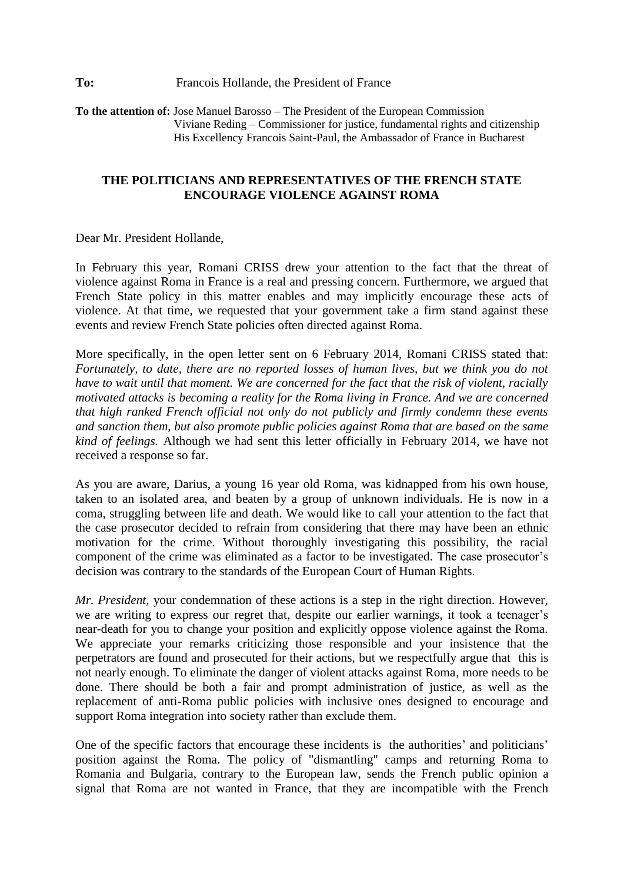**To the attention of:** Jose Manuel Barosso – The President of the European Commission Viviane Reding – Commissioner for justice, fundamental rights and citizenship His Excellency Francois Saint-Paul, the Ambassador of France in Bucharest

## **THE POLITICIANS AND REPRESENTATIVES OF THE FRENCH STATE ENCOURAGE VIOLENCE AGAINST ROMA**

Dear Mr. President Hollande,

In February this year, Romani CRISS drew your attention to the fact that the threat of violence against Roma in France is a real and pressing concern. Furthermore, we argued that French State policy in this matter enables and may implicitly encourage these acts of violence. At that time, we requested that your government take a firm stand against these events and review French State policies often directed against Roma.

More specifically, in the open letter sent on 6 February 2014, Romani CRISS stated that: *Fortunately, to date, there are no reported losses of human lives, but we think you do not have to wait until that moment. We are concerned for the fact that the risk of violent, racially motivated attacks is becoming a reality for the Roma living in France. And we are concerned that high ranked French official not only do not publicly and firmly condemn these events and sanction them, but also promote public policies against Roma that are based on the same kind of feelings.* Although we had sent this letter officially in February 2014, we have not received a response so far.

As you are aware, Darius, a young 16 year old Roma, was kidnapped from his own house, taken to an isolated area, and beaten by a group of unknown individuals. He is now in a coma, struggling between life and death. We would like to call your attention to the fact that the case prosecutor decided to refrain from considering that there may have been an ethnic motivation for the crime. Without thoroughly investigating this possibility, the racial component of the crime was eliminated as a factor to be investigated. The case prosecutor's decision was contrary to the standards of the European Court of Human Rights.

*Mr. President,* your condemnation of these actions is a step in the right direction. However, we are writing to express our regret that, despite our earlier warnings, it took a teenager's near-death for you to change your position and explicitly oppose violence against the Roma. We appreciate your remarks criticizing those responsible and your insistence that the perpetrators are found and prosecuted for their actions, but we respectfully argue that this is not nearly enough. To eliminate the danger of violent attacks against Roma, more needs to be done. There should be both a fair and prompt administration of justice, as well as the replacement of anti-Roma public policies with inclusive ones designed to encourage and support Roma integration into society rather than exclude them.

One of the specific factors that encourage these incidents is the authorities' and politicians' position against the Roma. The policy of "dismantling" camps and returning Roma to Romania and Bulgaria, contrary to the European law, sends the French public opinion a signal that Roma are not wanted in France, that they are incompatible with the French